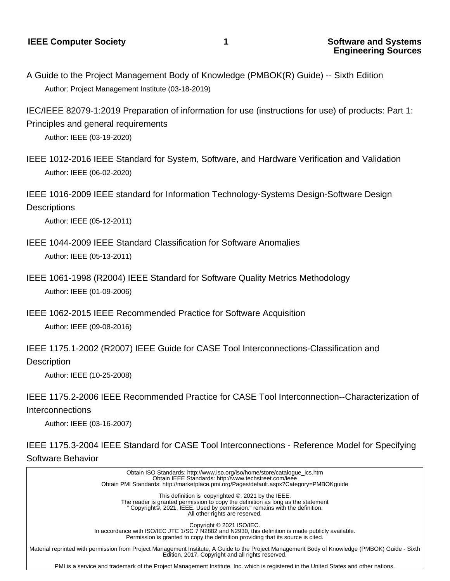A Guide to the Project Management Body of Knowledge (PMBOK(R) Guide) -- Sixth Edition Author: Project Management Institute (03-18-2019)

IEC/IEEE 82079-1:2019 Preparation of information for use (instructions for use) of products: Part 1: Principles and general requirements

Author: IEEE (03-19-2020)

- IEEE 1012-2016 IEEE Standard for System, Software, and Hardware Verification and Validation Author: IEEE (06-02-2020)
- IEEE 1016-2009 IEEE standard for Information Technology-Systems Design-Software Design

## **Descriptions**

Author: IEEE (05-12-2011)

- IEEE 1044-2009 IEEE Standard Classification for Software Anomalies Author: IEEE (05-13-2011)
- IEEE 1061-1998 (R2004) IEEE Standard for Software Quality Metrics Methodology Author: IEEE (01-09-2006)
- IEEE 1062-2015 IEEE Recommended Practice for Software Acquisition Author: IEEE (09-08-2016)
- IEEE 1175.1-2002 (R2007) IEEE Guide for CASE Tool Interconnections-Classification and **Description**

Author: IEEE (10-25-2008)

IEEE 1175.2-2006 IEEE Recommended Practice for CASE Tool Interconnection--Characterization of Interconnections

Author: IEEE (03-16-2007)

IEEE 1175.3-2004 IEEE Standard for CASE Tool Interconnections - Reference Model for Specifying Software Behavior

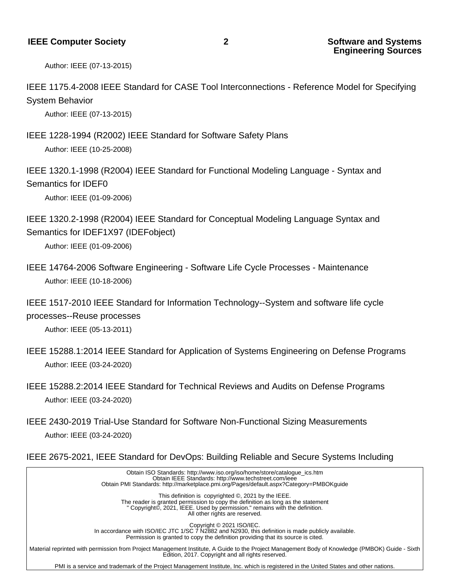Author: IEEE (07-13-2015)

IEEE 1175.4-2008 IEEE Standard for CASE Tool Interconnections - Reference Model for Specifying System Behavior

Author: IEEE (07-13-2015)

IEEE 1228-1994 (R2002) IEEE Standard for Software Safety Plans Author: IEEE (10-25-2008)

IEEE 1320.1-1998 (R2004) IEEE Standard for Functional Modeling Language - Syntax and Semantics for IDEF0

Author: IEEE (01-09-2006)

IEEE 1320.2-1998 (R2004) IEEE Standard for Conceptual Modeling Language Syntax and Semantics for IDEF1X97 (IDEFobject)

Author: IEEE (01-09-2006)

- IEEE 14764-2006 Software Engineering Software Life Cycle Processes Maintenance Author: IEEE (10-18-2006)
- IEEE 1517-2010 IEEE Standard for Information Technology--System and software life cycle processes--Reuse processes

Author: IEEE (05-13-2011)

- IEEE 15288.1:2014 IEEE Standard for Application of Systems Engineering on Defense Programs Author: IEEE (03-24-2020)
- IEEE 15288.2:2014 IEEE Standard for Technical Reviews and Audits on Defense Programs Author: IEEE (03-24-2020)
- IEEE 2430-2019 Trial-Use Standard for Software Non-Functional Sizing Measurements Author: IEEE (03-24-2020)
- IEEE 2675-2021, IEEE Standard for DevOps: Building Reliable and Secure Systems Including

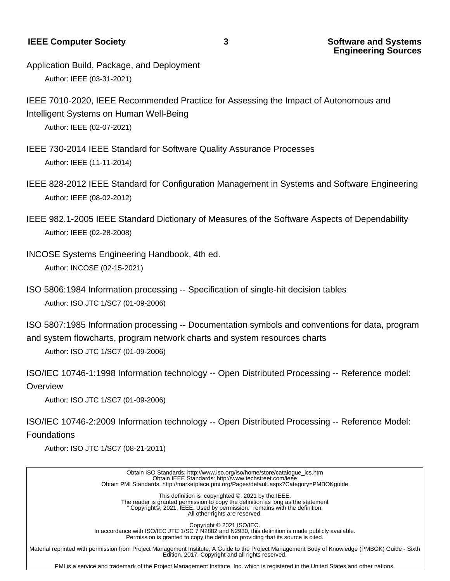**IEEE Computer Society 3 Software and Systems 3** 

**Engineering Sources**

- Application Build, Package, and Deployment Author: IEEE (03-31-2021)
- IEEE 7010-2020, IEEE Recommended Practice for Assessing the Impact of Autonomous and Intelligent Systems on Human Well-Being Author: IEEE (02-07-2021)
- IEEE 730-2014 IEEE Standard for Software Quality Assurance Processes Author: IEEE (11-11-2014)
- IEEE 828-2012 IEEE Standard for Configuration Management in Systems and Software Engineering Author: IEEE (08-02-2012)
- IEEE 982.1-2005 IEEE Standard Dictionary of Measures of the Software Aspects of Dependability Author: IEEE (02-28-2008)
- INCOSE Systems Engineering Handbook, 4th ed. Author: INCOSE (02-15-2021)
- ISO 5806:1984 Information processing -- Specification of single-hit decision tables Author: ISO JTC 1/SC7 (01-09-2006)
- ISO 5807:1985 Information processing -- Documentation symbols and conventions for data, program and system flowcharts, program network charts and system resources charts

Author: ISO JTC 1/SC7 (01-09-2006)

ISO/IEC 10746-1:1998 Information technology -- Open Distributed Processing -- Reference model: **Overview** 

Author: ISO JTC 1/SC7 (01-09-2006)

ISO/IEC 10746-2:2009 Information technology -- Open Distributed Processing -- Reference Model: Foundations

Author: ISO JTC 1/SC7 (08-21-2011)

 Obtain ISO Standards: http://www.iso.org/iso/home/store/catalogue\_ics.htm Obtain IEEE Standards: http://www.techstreet.com/ieee Obtain PMI Standards: http://marketplace.pmi.org/Pages/default.aspx?Category=PMBOKguide This definition is copyrighted ©, 2021 by the IEEE. The reader is granted permission to copy the definition as long as the statement " Copyright©, 2021, IEEE. Used by permission." remains with the definition. All other rights are reserved. Copyright © 2021 ISO/IEC. In accordance with ISO/IEC JTC 1/SC 7 N2882 and N2930, this definition is made publicly available. Permission is granted to copy the definition providing that its source is cited. Material reprinted with permission from Project Management Institute, A Guide to the Project Management Body of Knowledge (PMBOK) Guide - Sixth Edition, 2017. Copyright and all rights reserved.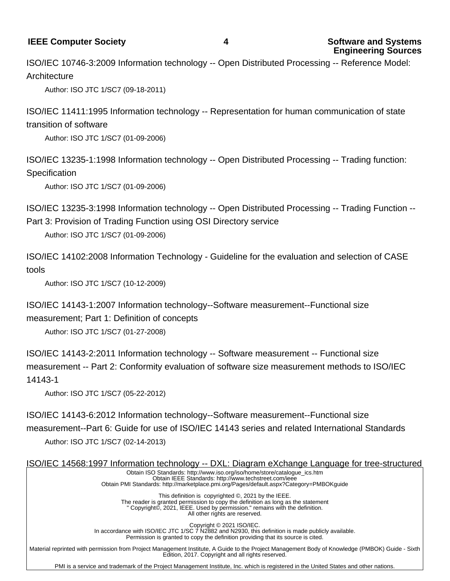**IEEE Computer Society 4 Software and Systems**

ISO/IEC 10746-3:2009 Information technology -- Open Distributed Processing -- Reference Model: **Architecture** 

Author: ISO JTC 1/SC7 (09-18-2011)

ISO/IEC 11411:1995 Information technology -- Representation for human communication of state transition of software

Author: ISO JTC 1/SC7 (01-09-2006)

ISO/IEC 13235-1:1998 Information technology -- Open Distributed Processing -- Trading function: **Specification** 

Author: ISO JTC 1/SC7 (01-09-2006)

ISO/IEC 13235-3:1998 Information technology -- Open Distributed Processing -- Trading Function -- Part 3: Provision of Trading Function using OSI Directory service

Author: ISO JTC 1/SC7 (01-09-2006)

ISO/IEC 14102:2008 Information Technology - Guideline for the evaluation and selection of CASE tools

Author: ISO JTC 1/SC7 (10-12-2009)

ISO/IEC 14143-1:2007 Information technology--Software measurement--Functional size

measurement; Part 1: Definition of concepts

Author: ISO JTC 1/SC7 (01-27-2008)

ISO/IEC 14143-2:2011 Information technology -- Software measurement -- Functional size measurement -- Part 2: Conformity evaluation of software size measurement methods to ISO/IEC 14143-1

Author: ISO JTC 1/SC7 (05-22-2012)

ISO/IEC 14143-6:2012 Information technology--Software measurement--Functional size measurement--Part 6: Guide for use of ISO/IEC 14143 series and related International Standards Author: ISO JTC 1/SC7 (02-14-2013)

ISO/IEC 14568:1997 Information technology -- DXL: Diagram eXchange Language for tree-structured Obtain ISO Standards: http://www.iso.org/iso/home/store/catalogue\_ics.htm Obtain IEEE Standards: http://www.techstreet.com/ieee Obtain PMI Standards: http://marketplace.pmi.org/Pages/default.aspx?Category=PMBOKguide This definition is copyrighted ©, 2021 by the IEEE. The reader is granted permission to copy the definition as long as the statement " Copyright©, 2021, IEEE. Used by permission." remains with the definition. All other rights are reserved. Copyright © 2021 ISO/IEC. In accordance with ISO/IEC JTC 1/SC 7 N2882 and N2930, this definition is made publicly available. Permission is granted to copy the definition providing that its source is cited. Material reprinted with permission from Project Management Institute, A Guide to the Project Management Body of Knowledge (PMBOK) Guide - Sixth

Edition, 2017. Copyright and all rights reserved. PMI is a service and trademark of the Project Management Institute, Inc. which is registered in the United States and other nations.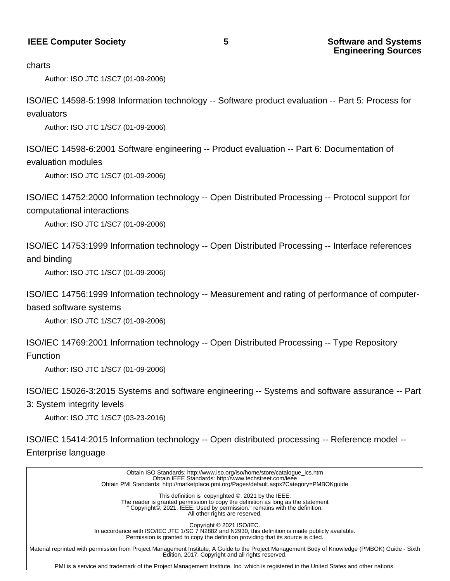#### **IEEE Computer Society 6 Software and Systems 5 Software and Systems**

#### charts

Author: ISO JTC 1/SC7 (01-09-2006)

ISO/IEC 14598-5:1998 Information technology -- Software product evaluation -- Part 5: Process for evaluators

Author: ISO JTC 1/SC7 (01-09-2006)

ISO/IEC 14598-6:2001 Software engineering -- Product evaluation -- Part 6: Documentation of evaluation modules

Author: ISO JTC 1/SC7 (01-09-2006)

ISO/IEC 14752:2000 Information technology -- Open Distributed Processing -- Protocol support for computational interactions

Author: ISO JTC 1/SC7 (01-09-2006)

ISO/IEC 14753:1999 Information technology -- Open Distributed Processing -- Interface references and binding

Author: ISO JTC 1/SC7 (01-09-2006)

ISO/IEC 14756:1999 Information technology -- Measurement and rating of performance of computerbased software systems

Author: ISO JTC 1/SC7 (01-09-2006)

ISO/IEC 14769:2001 Information technology -- Open Distributed Processing -- Type Repository Function

Author: ISO JTC 1/SC7 (01-09-2006)

ISO/IEC 15026-3:2015 Systems and software engineering -- Systems and software assurance -- Part

3: System integrity levels

Author: ISO JTC 1/SC7 (03-23-2016)

ISO/IEC 15414:2015 Information technology -- Open distributed processing -- Reference model -- Enterprise language

 Obtain ISO Standards: http://www.iso.org/iso/home/store/catalogue\_ics.htm Obtain IEEE Standards: http://www.techstreet.com/ieee Obtain PMI Standards: http://marketplace.pmi.org/Pages/default.aspx?Category=PMBOKguide This definition is copyrighted ©, 2021 by the IEEE. The reader is granted permission to copy the definition as long as the statement " Copyright©, 2021, IEEE. Used by permission." remains with the definition. All other rights are reserved. Copyright © 2021 ISO/IEC. In accordance with ISO/IEC JTC 1/SC 7 N2882 and N2930, this definition is made publicly available. Permission is granted to copy the definition providing that its source is cited. Material reprinted with permission from Project Management Institute, A Guide to the Project Management Body of Knowledge (PMBOK) Guide - Sixth Edition, 2017. Copyright and all rights reserved.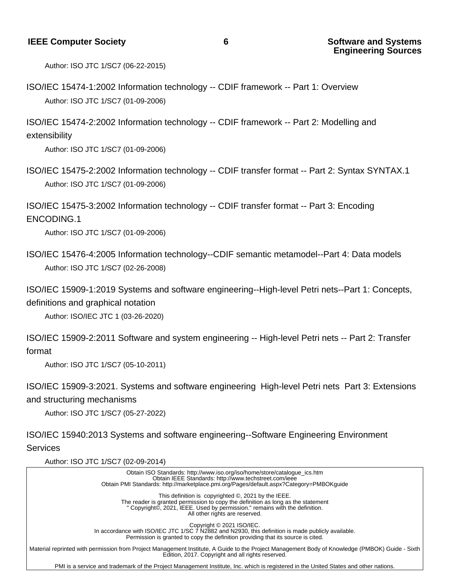Author: ISO JTC 1/SC7 (06-22-2015)

ISO/IEC 15474-1:2002 Information technology -- CDIF framework -- Part 1: Overview Author: ISO JTC 1/SC7 (01-09-2006)

ISO/IEC 15474-2:2002 Information technology -- CDIF framework -- Part 2: Modelling and extensibility

Author: ISO JTC 1/SC7 (01-09-2006)

ISO/IEC 15475-2:2002 Information technology -- CDIF transfer format -- Part 2: Syntax SYNTAX.1 Author: ISO JTC 1/SC7 (01-09-2006)

ISO/IEC 15475-3:2002 Information technology -- CDIF transfer format -- Part 3: Encoding ENCODING.1

Author: ISO JTC 1/SC7 (01-09-2006)

ISO/IEC 15476-4:2005 Information technology--CDIF semantic metamodel--Part 4: Data models Author: ISO JTC 1/SC7 (02-26-2008)

ISO/IEC 15909-1:2019 Systems and software engineering--High-level Petri nets--Part 1: Concepts, definitions and graphical notation

Author: ISO/IEC JTC 1 (03-26-2020)

ISO/IEC 15909-2:2011 Software and system engineering -- High-level Petri nets -- Part 2: Transfer format

Author: ISO JTC 1/SC7 (05-10-2011)

ISO/IEC 15909-3:2021. Systems and software engineering High-level Petri nets Part 3: Extensions and structuring mechanisms

Author: ISO JTC 1/SC7 (05-27-2022)

ISO/IEC 15940:2013 Systems and software engineering--Software Engineering Environment Services

Author: ISO JTC 1/SC7 (02-09-2014)

 Obtain ISO Standards: http://www.iso.org/iso/home/store/catalogue\_ics.htm Obtain IEEE Standards: http://www.techstreet.com/ieee Obtain PMI Standards: http://marketplace.pmi.org/Pages/default.aspx?Category=PMBOKguide This definition is copyrighted ©, 2021 by the IEEE. The reader is granted permission to copy the definition as long as the statement " Copyright©, 2021, IEEE. Used by permission." remains with the definition. All other rights are reserved. Copyright © 2021 ISO/IEC. In accordance with ISO/IEC JTC 1/SC 7 N2882 and N2930, this definition is made publicly available. Permission is granted to copy the definition providing that its source is cited. Material reprinted with permission from Project Management Institute, A Guide to the Project Management Body of Knowledge (PMBOK) Guide - Sixth Edition, 2017. Copyright and all rights reserved.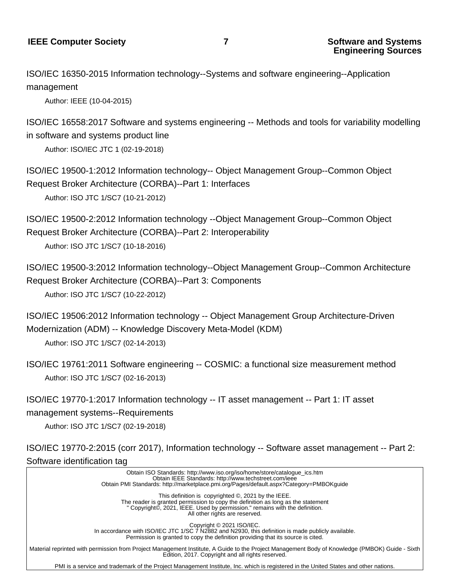**Engineering Sources**

ISO/IEC 16350-2015 Information technology--Systems and software engineering--Application management

Author: IEEE (10-04-2015)

ISO/IEC 16558:2017 Software and systems engineering -- Methods and tools for variability modelling in software and systems product line

Author: ISO/IEC JTC 1 (02-19-2018)

ISO/IEC 19500-1:2012 Information technology-- Object Management Group--Common Object Request Broker Architecture (CORBA)--Part 1: Interfaces Author: ISO JTC 1/SC7 (10-21-2012)

ISO/IEC 19500-2:2012 Information technology --Object Management Group--Common Object Request Broker Architecture (CORBA)--Part 2: Interoperability

Author: ISO JTC 1/SC7 (10-18-2016)

ISO/IEC 19500-3:2012 Information technology--Object Management Group--Common Architecture Request Broker Architecture (CORBA)--Part 3: Components Author: ISO JTC 1/SC7 (10-22-2012)

ISO/IEC 19506:2012 Information technology -- Object Management Group Architecture-Driven Modernization (ADM) -- Knowledge Discovery Meta-Model (KDM)

Author: ISO JTC 1/SC7 (02-14-2013)

ISO/IEC 19761:2011 Software engineering -- COSMIC: a functional size measurement method Author: ISO JTC 1/SC7 (02-16-2013)

ISO/IEC 19770-1:2017 Information technology -- IT asset management -- Part 1: IT asset management systems--Requirements

Author: ISO JTC 1/SC7 (02-19-2018)

ISO/IEC 19770-2:2015 (corr 2017), Information technology -- Software asset management -- Part 2: Software identification tag

 Obtain ISO Standards: http://www.iso.org/iso/home/store/catalogue\_ics.htm Obtain IEEE Standards: http://www.techstreet.com/ieee Obtain PMI Standards: http://marketplace.pmi.org/Pages/default.aspx?Category=PMBOKguide This definition is copyrighted ©, 2021 by the IEEE. The reader is granted permission to copy the definition as long as the statement " Copyright©, 2021, IEEE. Used by permission." remains with the definition. All other rights are reserved. Copyright © 2021 ISO/IEC. In accordance with ISO/IEC JTC 1/SC 7 N2882 and N2930, this definition is made publicly available. Permission is granted to copy the definition providing that its source is cited. Material reprinted with permission from Project Management Institute, A Guide to the Project Management Body of Knowledge (PMBOK) Guide - Sixth Edition, 2017. Copyright and all rights reserved. PMI is a service and trademark of the Project Management Institute, Inc. which is registered in the United States and other nations.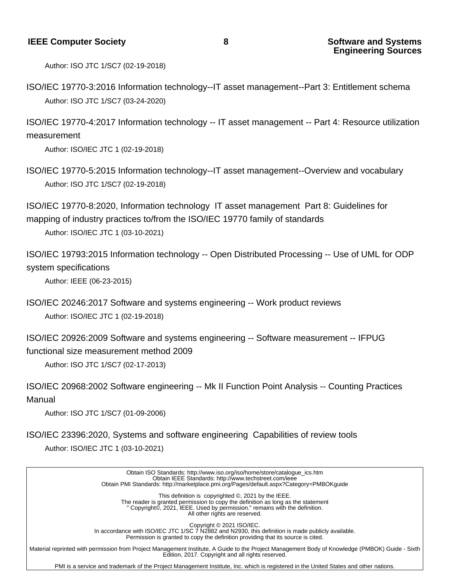Author: ISO JTC 1/SC7 (02-19-2018)

ISO/IEC 19770-3:2016 Information technology--IT asset management--Part 3: Entitlement schema Author: ISO JTC 1/SC7 (03-24-2020)

ISO/IEC 19770-4:2017 Information technology -- IT asset management -- Part 4: Resource utilization measurement

Author: ISO/IEC JTC 1 (02-19-2018)

ISO/IEC 19770-5:2015 Information technology--IT asset management--Overview and vocabulary Author: ISO JTC 1/SC7 (02-19-2018)

ISO/IEC 19770-8:2020, Information technology IT asset management Part 8: Guidelines for mapping of industry practices to/from the ISO/IEC 19770 family of standards

Author: ISO/IEC JTC 1 (03-10-2021)

ISO/IEC 19793:2015 Information technology -- Open Distributed Processing -- Use of UML for ODP system specifications

Author: IEEE (06-23-2015)

ISO/IEC 20246:2017 Software and systems engineering -- Work product reviews Author: ISO/IEC JTC 1 (02-19-2018)

ISO/IEC 20926:2009 Software and systems engineering -- Software measurement -- IFPUG functional size measurement method 2009

Author: ISO JTC 1/SC7 (02-17-2013)

ISO/IEC 20968:2002 Software engineering -- Mk II Function Point Analysis -- Counting Practices Manual

Author: ISO JTC 1/SC7 (01-09-2006)

ISO/IEC 23396:2020, Systems and software engineering Capabilities of review tools

Author: ISO/IEC JTC 1 (03-10-2021)

 Obtain ISO Standards: http://www.iso.org/iso/home/store/catalogue\_ics.htm Obtain IEEE Standards: http://www.techstreet.com/ieee Obtain PMI Standards: http://marketplace.pmi.org/Pages/default.aspx?Category=PMBOKguide This definition is copyrighted ©, 2021 by the IEEE. The reader is granted permission to copy the definition as long as the statement " Copyright©, 2021, IEEE. Used by permission." remains with the definition. All other rights are reserved. Copyright © 2021 ISO/IEC. In accordance with ISO/IEC JTC 1/SC 7 N2882 and N2930, this definition is made publicly available. Permission is granted to copy the definition providing that its source is cited. Material reprinted with permission from Project Management Institute, A Guide to the Project Management Body of Knowledge (PMBOK) Guide - Sixth Edition, 2017. Copyright and all rights reserved.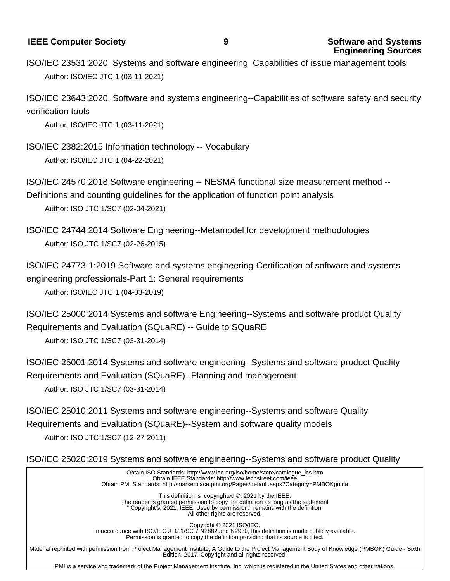**IEEE Computer Society 19 <b>9 Software and Systems** 

**Engineering Sources**

ISO/IEC 23531:2020, Systems and software engineering Capabilities of issue management tools Author: ISO/IEC JTC 1 (03-11-2021)

ISO/IEC 23643:2020, Software and systems engineering--Capabilities of software safety and security verification tools

Author: ISO/IEC JTC 1 (03-11-2021)

ISO/IEC 2382:2015 Information technology -- Vocabulary Author: ISO/IEC JTC 1 (04-22-2021)

ISO/IEC 24570:2018 Software engineering -- NESMA functional size measurement method --

Definitions and counting guidelines for the application of function point analysis

Author: ISO JTC 1/SC7 (02-04-2021)

ISO/IEC 24744:2014 Software Engineering--Metamodel for development methodologies Author: ISO JTC 1/SC7 (02-26-2015)

ISO/IEC 24773-1:2019 Software and systems engineering-Certification of software and systems engineering professionals-Part 1: General requirements

Author: ISO/IEC JTC 1 (04-03-2019)

ISO/IEC 25000:2014 Systems and software Engineering--Systems and software product Quality Requirements and Evaluation (SQuaRE) -- Guide to SQuaRE

Author: ISO JTC 1/SC7 (03-31-2014)

ISO/IEC 25001:2014 Systems and software engineering--Systems and software product Quality Requirements and Evaluation (SQuaRE)--Planning and management Author: ISO JTC 1/SC7 (03-31-2014)

ISO/IEC 25010:2011 Systems and software engineering--Systems and software Quality Requirements and Evaluation (SQuaRE)--System and software quality models Author: ISO JTC 1/SC7 (12-27-2011)

ISO/IEC 25020:2019 Systems and software engineering--Systems and software product Quality

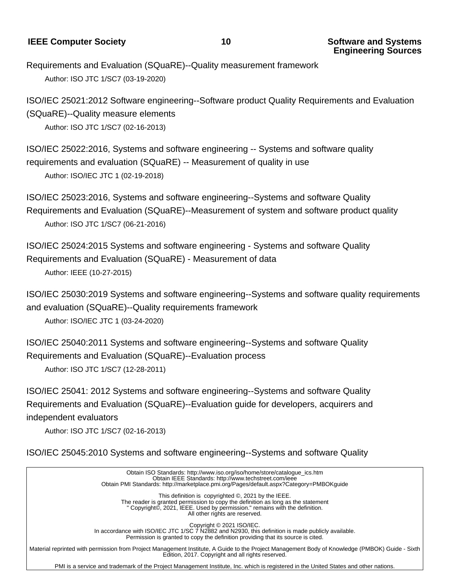**IEEE Computer Society** 10 **10 Software and Systems** 

Requirements and Evaluation (SQuaRE)--Quality measurement framework Author: ISO JTC 1/SC7 (03-19-2020)

ISO/IEC 25021:2012 Software engineering--Software product Quality Requirements and Evaluation (SQuaRE)--Quality measure elements

Author: ISO JTC 1/SC7 (02-16-2013)

ISO/IEC 25022:2016, Systems and software engineering -- Systems and software quality requirements and evaluation (SQuaRE) -- Measurement of quality in use

Author: ISO/IEC JTC 1 (02-19-2018)

ISO/IEC 25023:2016, Systems and software engineering--Systems and software Quality Requirements and Evaluation (SQuaRE)--Measurement of system and software product quality Author: ISO JTC 1/SC7 (06-21-2016)

ISO/IEC 25024:2015 Systems and software engineering - Systems and software Quality Requirements and Evaluation (SQuaRE) - Measurement of data Author: IEEE (10-27-2015)

ISO/IEC 25030:2019 Systems and software engineering--Systems and software quality requirements and evaluation (SQuaRE)--Quality requirements framework

Author: ISO/IEC JTC 1 (03-24-2020)

ISO/IEC 25040:2011 Systems and software engineering--Systems and software Quality Requirements and Evaluation (SQuaRE)--Evaluation process

Author: ISO JTC 1/SC7 (12-28-2011)

ISO/IEC 25041: 2012 Systems and software engineering--Systems and software Quality Requirements and Evaluation (SQuaRE)--Evaluation guide for developers, acquirers and independent evaluators

Author: ISO JTC 1/SC7 (02-16-2013)

ISO/IEC 25045:2010 Systems and software engineering--Systems and software Quality

 Obtain ISO Standards: http://www.iso.org/iso/home/store/catalogue\_ics.htm Obtain IEEE Standards: http://www.techstreet.com/ieee Obtain PMI Standards: http://marketplace.pmi.org/Pages/default.aspx?Category=PMBOKguide This definition is copyrighted ©, 2021 by the IEEE. The reader is granted permission to copy the definition as long as the statement " Copyright©, 2021, IEEE. Used by permission." remains with the definition. All other rights are reserved. Copyright © 2021 ISO/IEC. In accordance with ISO/IEC JTC 1/SC 7 N2882 and N2930, this definition is made publicly available. Permission is granted to copy the definition providing that its source is cited. Material reprinted with permission from Project Management Institute, A Guide to the Project Management Body of Knowledge (PMBOK) Guide - Sixth Edition, 2017. Copyright and all rights reserved.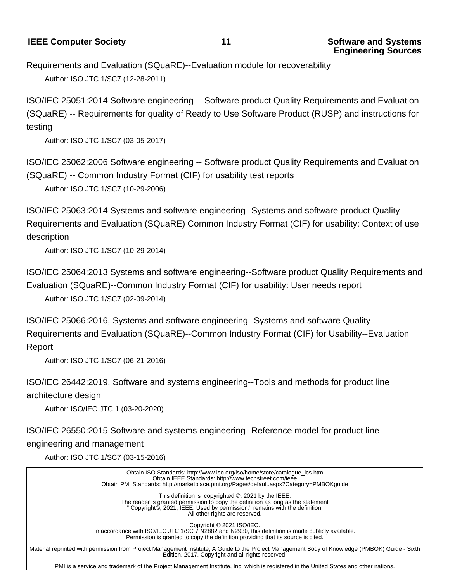**IEEE Computer Society** 11 **1 Software and Systems** 

Requirements and Evaluation (SQuaRE)--Evaluation module for recoverability Author: ISO JTC 1/SC7 (12-28-2011)

ISO/IEC 25051:2014 Software engineering -- Software product Quality Requirements and Evaluation (SQuaRE) -- Requirements for quality of Ready to Use Software Product (RUSP) and instructions for testing

Author: ISO JTC 1/SC7 (03-05-2017)

ISO/IEC 25062:2006 Software engineering -- Software product Quality Requirements and Evaluation (SQuaRE) -- Common Industry Format (CIF) for usability test reports

Author: ISO JTC 1/SC7 (10-29-2006)

ISO/IEC 25063:2014 Systems and software engineering--Systems and software product Quality Requirements and Evaluation (SQuaRE) Common Industry Format (CIF) for usability: Context of use description

Author: ISO JTC 1/SC7 (10-29-2014)

ISO/IEC 25064:2013 Systems and software engineering--Software product Quality Requirements and Evaluation (SQuaRE)--Common Industry Format (CIF) for usability: User needs report

Author: ISO JTC 1/SC7 (02-09-2014)

ISO/IEC 25066:2016, Systems and software engineering--Systems and software Quality Requirements and Evaluation (SQuaRE)--Common Industry Format (CIF) for Usability--Evaluation Report

Author: ISO JTC 1/SC7 (06-21-2016)

ISO/IEC 26442:2019, Software and systems engineering--Tools and methods for product line architecture design

Author: ISO/IEC JTC 1 (03-20-2020)

ISO/IEC 26550:2015 Software and systems engineering--Reference model for product line engineering and management

Author: ISO JTC 1/SC7 (03-15-2016)

 Obtain ISO Standards: http://www.iso.org/iso/home/store/catalogue\_ics.htm Obtain IEEE Standards: http://www.techstreet.com/ieee Obtain PMI Standards: http://marketplace.pmi.org/Pages/default.aspx?Category=PMBOKguide This definition is copyrighted ©, 2021 by the IEEE. The reader is granted permission to copy the definition as long as the statement " Copyright©, 2021, IEEE. Used by permission." remains with the definition. All other rights are reserved. Copyright © 2021 ISO/IEC. In accordance with ISO/IEC JTC 1/SC 7 N2882 and N2930, this definition is made publicly available. Permission is granted to copy the definition providing that its source is cited. Material reprinted with permission from Project Management Institute, A Guide to the Project Management Body of Knowledge (PMBOK) Guide - Sixth Edition, 2017. Copyright and all rights reserved.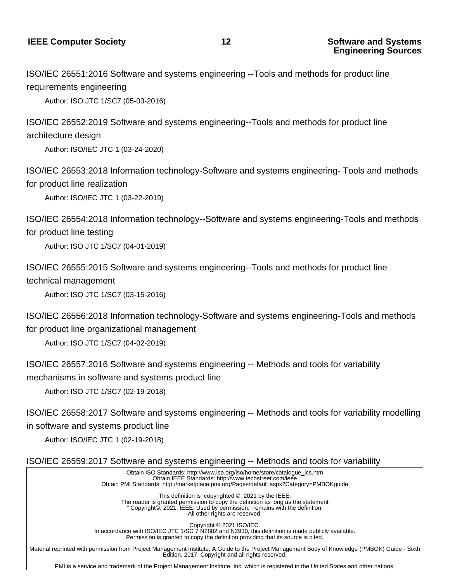ISO/IEC 26551:2016 Software and systems engineering --Tools and methods for product line requirements engineering

Author: ISO JTC 1/SC7 (05-03-2016)

ISO/IEC 26552:2019 Software and systems engineering--Tools and methods for product line architecture design

Author: ISO/IEC JTC 1 (03-24-2020)

ISO/IEC 26553:2018 Information technology-Software and systems engineering- Tools and methods for product line realization

Author: ISO/IEC JTC 1 (03-22-2019)

ISO/IEC 26554:2018 Information technology--Software and systems engineering-Tools and methods for product line testing

Author: ISO JTC 1/SC7 (04-01-2019)

ISO/IEC 26555:2015 Software and systems engineering--Tools and methods for product line technical management

Author: ISO JTC 1/SC7 (03-15-2016)

ISO/IEC 26556:2018 Information technology-Software and systems engineering-Tools and methods for product line organizational management

Author: ISO JTC 1/SC7 (04-02-2019)

ISO/IEC 26557:2016 Software and systems engineering -- Methods and tools for variability mechanisms in software and systems product line

Author: ISO JTC 1/SC7 (02-19-2018)

ISO/IEC 26558:2017 Software and systems engineering -- Methods and tools for variability modelling in software and systems product line

Author: ISO/IEC JTC 1 (02-19-2018)

ISO/IEC 26559:2017 Software and systems engineering -- Methods and tools for variability

 Obtain ISO Standards: http://www.iso.org/iso/home/store/catalogue\_ics.htm Obtain IEEE Standards: http://www.techstreet.com/ieee Obtain PMI Standards: http://marketplace.pmi.org/Pages/default.aspx?Category=PMBOKguide

> This definition is copyrighted ©, 2021 by the IEEE. The reader is granted permission to copy the definition as long as the statement " Copyright©, 2021, IEEE. Used by permission." remains with the definition. All other rights are reserved.

> > Copyright © 2021 ISO/IEC.

 In accordance with ISO/IEC JTC 1/SC 7 N2882 and N2930, this definition is made publicly available. Permission is granted to copy the definition providing that its source is cited.

 Material reprinted with permission from Project Management Institute, A Guide to the Project Management Body of Knowledge (PMBOK) Guide - Sixth Edition, 2017. Copyright and all rights reserved.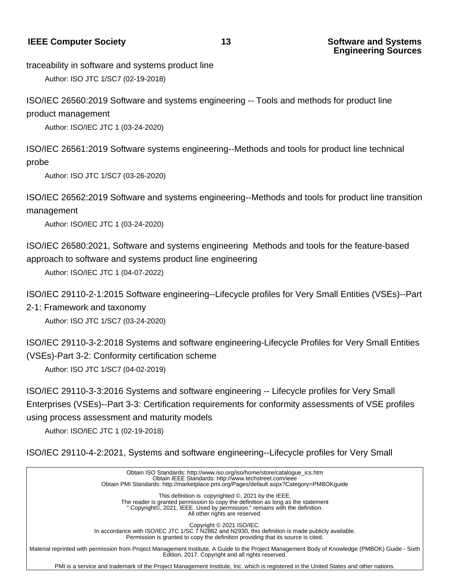#### **IEEE Computer Society** 13 **13 Software and Systems**

traceability in software and systems product line

Author: ISO JTC 1/SC7 (02-19-2018)

ISO/IEC 26560:2019 Software and systems engineering -- Tools and methods for product line product management

Author: ISO/IEC JTC 1 (03-24-2020)

ISO/IEC 26561:2019 Software systems engineering--Methods and tools for product line technical probe

Author: ISO JTC 1/SC7 (03-26-2020)

ISO/IEC 26562:2019 Software and systems engineering--Methods and tools for product line transition management

Author: ISO/IEC JTC 1 (03-24-2020)

ISO/IEC 26580:2021, Software and systems engineering Methods and tools for the feature-based approach to software and systems product line engineering

Author: ISO/IEC JTC 1 (04-07-2022)

ISO/IEC 29110-2-1:2015 Software engineering--Lifecycle profiles for Very Small Entities (VSEs)--Part

2-1: Framework and taxonomy

Author: ISO JTC 1/SC7 (03-24-2020)

ISO/IEC 29110-3-2:2018 Systems and software engineering-Lifecycle Profiles for Very Small Entities (VSEs)-Part 3-2: Conformity certification scheme

Author: ISO JTC 1/SC7 (04-02-2019)

ISO/IEC 29110-3-3:2016 Systems and software engineering -- Lifecycle profiles for Very Small Enterprises (VSEs)--Part 3-3: Certification requirements for conformity assessments of VSE profiles using process assessment and maturity models

Author: ISO/IEC JTC 1 (02-19-2018)

ISO/IEC 29110-4-2:2021, Systems and software engineering--Lifecycle profiles for Very Small

 Obtain ISO Standards: http://www.iso.org/iso/home/store/catalogue\_ics.htm Obtain IEEE Standards: http://www.techstreet.com/ieee Obtain PMI Standards: http://marketplace.pmi.org/Pages/default.aspx?Category=PMBOKguide This definition is copyrighted ©, 2021 by the IEEE. The reader is granted permission to copy the definition as long as the statement " Copyright©, 2021, IEEE. Used by permission." remains with the definition. All other rights are reserved. Copyright © 2021 ISO/IEC. In accordance with ISO/IEC JTC 1/SC 7 N2882 and N2930, this definition is made publicly available. Permission is granted to copy the definition providing that its source is cited. Material reprinted with permission from Project Management Institute, A Guide to the Project Management Body of Knowledge (PMBOK) Guide - Sixth Edition, 2017. Copyright and all rights reserved.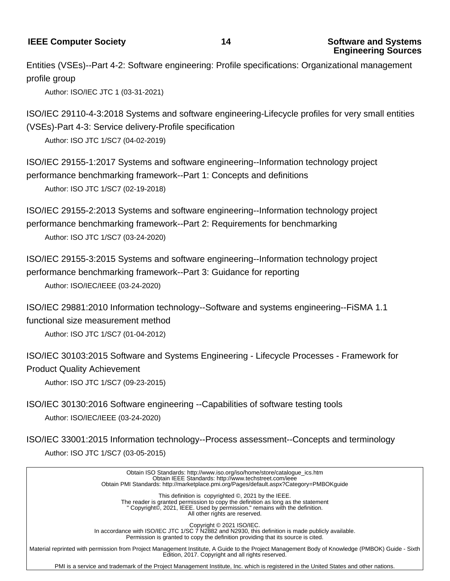#### **IEEE Computer Society** 14 **14 Software and Systems**

Entities (VSEs)--Part 4-2: Software engineering: Profile specifications: Organizational management profile group

Author: ISO/IEC JTC 1 (03-31-2021)

ISO/IEC 29110-4-3:2018 Systems and software engineering-Lifecycle profiles for very small entities (VSEs)-Part 4-3: Service delivery-Profile specification

Author: ISO JTC 1/SC7 (04-02-2019)

ISO/IEC 29155-1:2017 Systems and software engineering--Information technology project performance benchmarking framework--Part 1: Concepts and definitions Author: ISO JTC 1/SC7 (02-19-2018)

ISO/IEC 29155-2:2013 Systems and software engineering--Information technology project performance benchmarking framework--Part 2: Requirements for benchmarking Author: ISO JTC 1/SC7 (03-24-2020)

ISO/IEC 29155-3:2015 Systems and software engineering--Information technology project performance benchmarking framework--Part 3: Guidance for reporting Author: ISO/IEC/IEEE (03-24-2020)

ISO/IEC 29881:2010 Information technology--Software and systems engineering--FiSMA 1.1 functional size measurement method

Author: ISO JTC 1/SC7 (01-04-2012)

ISO/IEC 30103:2015 Software and Systems Engineering - Lifecycle Processes - Framework for Product Quality Achievement

Author: ISO JTC 1/SC7 (09-23-2015)

ISO/IEC 30130:2016 Software engineering --Capabilities of software testing tools Author: ISO/IEC/IEEE (03-24-2020)

ISO/IEC 33001:2015 Information technology--Process assessment--Concepts and terminology Author: ISO JTC 1/SC7 (03-05-2015)

 Obtain ISO Standards: http://www.iso.org/iso/home/store/catalogue\_ics.htm Obtain IEEE Standards: http://www.techstreet.com/ieee Obtain PMI Standards: http://marketplace.pmi.org/Pages/default.aspx?Category=PMBOKguide This definition is copyrighted ©, 2021 by the IEEE. The reader is granted permission to copy the definition as long as the statement " Copyright©, 2021, IEEE. Used by permission." remains with the definition. All other rights are reserved. Copyright © 2021 ISO/IEC. In accordance with ISO/IEC JTC 1/SC 7 N2882 and N2930, this definition is made publicly available. Permission is granted to copy the definition providing that its source is cited. Material reprinted with permission from Project Management Institute, A Guide to the Project Management Body of Knowledge (PMBOK) Guide - Sixth Edition, 2017. Copyright and all rights reserved.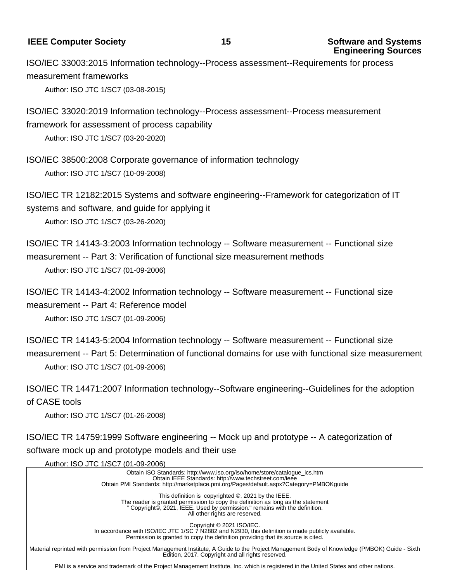#### **IEEE Computer Society** 15 **15 Software and Systems**

ISO/IEC 33003:2015 Information technology--Process assessment--Requirements for process measurement frameworks

Author: ISO JTC 1/SC7 (03-08-2015)

ISO/IEC 33020:2019 Information technology--Process assessment--Process measurement framework for assessment of process capability

Author: ISO JTC 1/SC7 (03-20-2020)

ISO/IEC 38500:2008 Corporate governance of information technology Author: ISO JTC 1/SC7 (10-09-2008)

ISO/IEC TR 12182:2015 Systems and software engineering--Framework for categorization of IT systems and software, and guide for applying it

Author: ISO JTC 1/SC7 (03-26-2020)

ISO/IEC TR 14143-3:2003 Information technology -- Software measurement -- Functional size measurement -- Part 3: Verification of functional size measurement methods Author: ISO JTC 1/SC7 (01-09-2006)

ISO/IEC TR 14143-4:2002 Information technology -- Software measurement -- Functional size measurement -- Part 4: Reference model

Author: ISO JTC 1/SC7 (01-09-2006)

ISO/IEC TR 14143-5:2004 Information technology -- Software measurement -- Functional size measurement -- Part 5: Determination of functional domains for use with functional size measurement Author: ISO JTC 1/SC7 (01-09-2006)

ISO/IEC TR 14471:2007 Information technology--Software engineering--Guidelines for the adoption of CASE tools

Author: ISO JTC 1/SC7 (01-26-2008)

ISO/IEC TR 14759:1999 Software engineering -- Mock up and prototype -- A categorization of software mock up and prototype models and their use

Author: ISO JTC 1/SC7 (01-09-2006)

 Obtain ISO Standards: http://www.iso.org/iso/home/store/catalogue\_ics.htm Obtain IEEE Standards: http://www.techstreet.com/ieee Obtain PMI Standards: http://marketplace.pmi.org/Pages/default.aspx?Category=PMBOKguide This definition is copyrighted ©, 2021 by the IEEE. The reader is granted permission to copy the definition as long as the statement " Copyright©, 2021, IEEE. Used by permission." remains with the definition. All other rights are reserved. Copyright © 2021 ISO/IEC. In accordance with ISO/IEC JTC 1/SC 7 N2882 and N2930, this definition is made publicly available. Permission is granted to copy the definition providing that its source is cited. Material reprinted with permission from Project Management Institute, A Guide to the Project Management Body of Knowledge (PMBOK) Guide - Sixth Edition, 2017. Copyright and all rights reserved.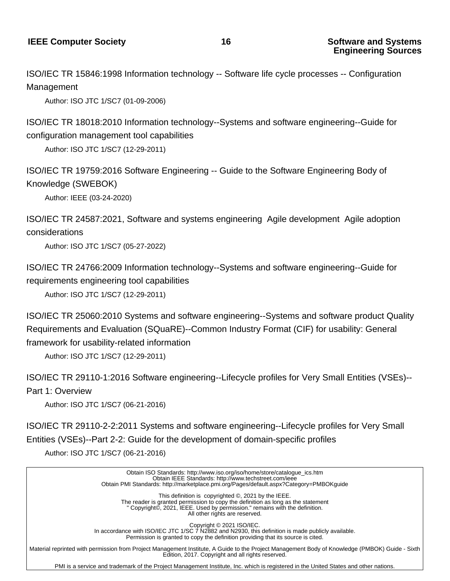ISO/IEC TR 15846:1998 Information technology -- Software life cycle processes -- Configuration Management

Author: ISO JTC 1/SC7 (01-09-2006)

ISO/IEC TR 18018:2010 Information technology--Systems and software engineering--Guide for configuration management tool capabilities

Author: ISO JTC 1/SC7 (12-29-2011)

ISO/IEC TR 19759:2016 Software Engineering -- Guide to the Software Engineering Body of Knowledge (SWEBOK)

Author: IEEE (03-24-2020)

ISO/IEC TR 24587:2021, Software and systems engineering Agile development Agile adoption considerations

Author: ISO JTC 1/SC7 (05-27-2022)

ISO/IEC TR 24766:2009 Information technology--Systems and software engineering--Guide for requirements engineering tool capabilities

Author: ISO JTC 1/SC7 (12-29-2011)

ISO/IEC TR 25060:2010 Systems and software engineering--Systems and software product Quality Requirements and Evaluation (SQuaRE)--Common Industry Format (CIF) for usability: General framework for usability-related information

Author: ISO JTC 1/SC7 (12-29-2011)

ISO/IEC TR 29110-1:2016 Software engineering--Lifecycle profiles for Very Small Entities (VSEs)-- Part 1: Overview

Author: ISO JTC 1/SC7 (06-21-2016)

ISO/IEC TR 29110-2-2:2011 Systems and software engineering--Lifecycle profiles for Very Small Entities (VSEs)--Part 2-2: Guide for the development of domain-specific profiles

Author: ISO JTC 1/SC7 (06-21-2016)

 Obtain ISO Standards: http://www.iso.org/iso/home/store/catalogue\_ics.htm Obtain IEEE Standards: http://www.techstreet.com/ieee Obtain PMI Standards: http://marketplace.pmi.org/Pages/default.aspx?Category=PMBOKguide This definition is copyrighted ©, 2021 by the IEEE. The reader is granted permission to copy the definition as long as the statement " Copyright©, 2021, IEEE. Used by permission." remains with the definition. All other rights are reserved. Copyright © 2021 ISO/IEC. In accordance with ISO/IEC JTC 1/SC 7 N2882 and N2930, this definition is made publicly available. Permission is granted to copy the definition providing that its source is cited. Material reprinted with permission from Project Management Institute, A Guide to the Project Management Body of Knowledge (PMBOK) Guide - Sixth Edition, 2017. Copyright and all rights reserved.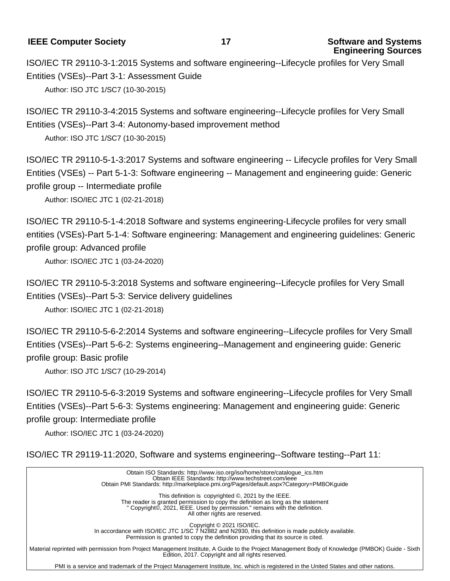**IEEE Computer Society** 17 **17 Software and Systems** 

ISO/IEC TR 29110-3-1:2015 Systems and software engineering--Lifecycle profiles for Very Small Entities (VSEs)--Part 3-1: Assessment Guide Author: ISO JTC 1/SC7 (10-30-2015)

ISO/IEC TR 29110-3-4:2015 Systems and software engineering--Lifecycle profiles for Very Small Entities (VSEs)--Part 3-4: Autonomy-based improvement method Author: ISO JTC 1/SC7 (10-30-2015)

ISO/IEC TR 29110-5-1-3:2017 Systems and software engineering -- Lifecycle profiles for Very Small Entities (VSEs) -- Part 5-1-3: Software engineering -- Management and engineering guide: Generic profile group -- Intermediate profile

Author: ISO/IEC JTC 1 (02-21-2018)

ISO/IEC TR 29110-5-1-4:2018 Software and systems engineering-Lifecycle profiles for very small entities (VSEs)-Part 5-1-4: Software engineering: Management and engineering guidelines: Generic profile group: Advanced profile

Author: ISO/IEC JTC 1 (03-24-2020)

ISO/IEC TR 29110-5-3:2018 Systems and software engineering--Lifecycle profiles for Very Small Entities (VSEs)--Part 5-3: Service delivery guidelines

Author: ISO/IEC JTC 1 (02-21-2018)

ISO/IEC TR 29110-5-6-2:2014 Systems and software engineering--Lifecycle profiles for Very Small Entities (VSEs)--Part 5-6-2: Systems engineering--Management and engineering guide: Generic profile group: Basic profile

Author: ISO JTC 1/SC7 (10-29-2014)

ISO/IEC TR 29110-5-6-3:2019 Systems and software engineering--Lifecycle profiles for Very Small Entities (VSEs)--Part 5-6-3: Systems engineering: Management and engineering guide: Generic profile group: Intermediate profile

Author: ISO/IEC JTC 1 (03-24-2020)

ISO/IEC TR 29119-11:2020, Software and systems engineering--Software testing--Part 11:

 Obtain ISO Standards: http://www.iso.org/iso/home/store/catalogue\_ics.htm Obtain IEEE Standards: http://www.techstreet.com/ieee Obtain PMI Standards: http://marketplace.pmi.org/Pages/default.aspx?Category=PMBOKguide This definition is copyrighted ©, 2021 by the IEEE. The reader is granted permission to copy the definition as long as the statement " Copyright©, 2021, IEEE. Used by permission." remains with the definition. All other rights are reserved. Copyright © 2021 ISO/IEC. In accordance with ISO/IEC JTC 1/SC 7 N2882 and N2930, this definition is made publicly available. Permission is granted to copy the definition providing that its source is cited. Material reprinted with permission from Project Management Institute, A Guide to the Project Management Body of Knowledge (PMBOK) Guide - Sixth Edition, 2017. Copyright and all rights reserved.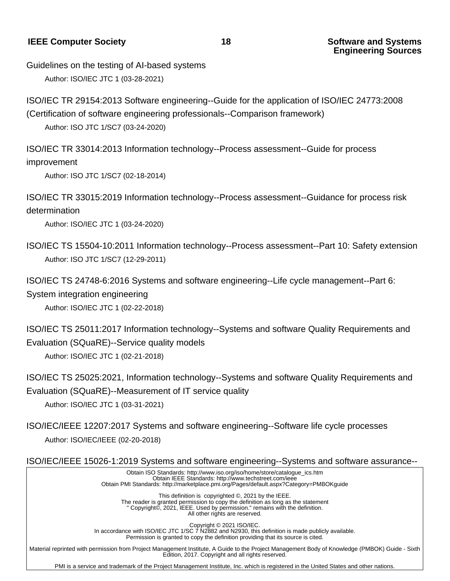**IEEE Computer Society** 18 **18 Software and Systems** 

Guidelines on the testing of AI-based systems

Author: ISO/IEC JTC 1 (03-28-2021)

ISO/IEC TR 29154:2013 Software engineering--Guide for the application of ISO/IEC 24773:2008 (Certification of software engineering professionals--Comparison framework)

Author: ISO JTC 1/SC7 (03-24-2020)

ISO/IEC TR 33014:2013 Information technology--Process assessment--Guide for process improvement

Author: ISO JTC 1/SC7 (02-18-2014)

ISO/IEC TR 33015:2019 Information technology--Process assessment--Guidance for process risk determination

Author: ISO/IEC JTC 1 (03-24-2020)

- ISO/IEC TS 15504-10:2011 Information technology--Process assessment--Part 10: Safety extension Author: ISO JTC 1/SC7 (12-29-2011)
- ISO/IEC TS 24748-6:2016 Systems and software engineering--Life cycle management--Part 6:

System integration engineering

Author: ISO/IEC JTC 1 (02-22-2018)

ISO/IEC TS 25011:2017 Information technology--Systems and software Quality Requirements and Evaluation (SQuaRE)--Service quality models

Author: ISO/IEC JTC 1 (02-21-2018)

ISO/IEC TS 25025:2021, Information technology--Systems and software Quality Requirements and Evaluation (SQuaRE)--Measurement of IT service quality

Author: ISO/IEC JTC 1 (03-31-2021)

ISO/IEC/IEEE 12207:2017 Systems and software engineering--Software life cycle processes Author: ISO/IEC/IEEE (02-20-2018)

ISO/IEC/IEEE 15026-1:2019 Systems and software engineering--Systems and software assurance--

 Obtain ISO Standards: http://www.iso.org/iso/home/store/catalogue\_ics.htm Obtain IEEE Standards: http://www.techstreet.com/ieee Obtain PMI Standards: http://marketplace.pmi.org/Pages/default.aspx?Category=PMBOKguide This definition is copyrighted ©, 2021 by the IEEE. The reader is granted permission to copy the definition as long as the statement " Copyright©, 2021, IEEE. Used by permission." remains with the definition. All other rights are reserved. Copyright © 2021 ISO/IEC. In accordance with ISO/IEC JTC 1/SC 7 N2882 and N2930, this definition is made publicly available. Permission is granted to copy the definition providing that its source is cited. Material reprinted with permission from Project Management Institute, A Guide to the Project Management Body of Knowledge (PMBOK) Guide - Sixth Edition, 2017. Copyright and all rights reserved.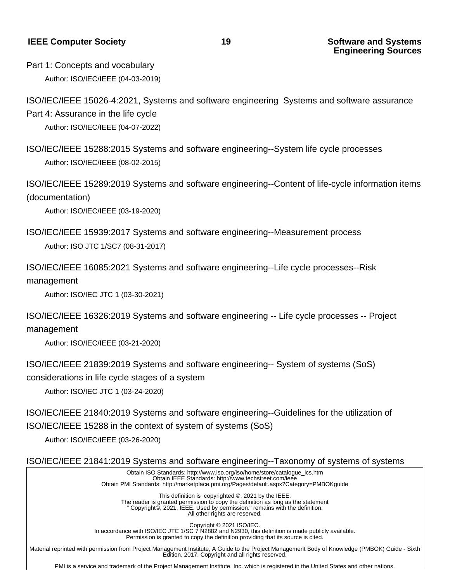**IEEE Computer Society 19 Software and Systems**

**Engineering Sources**

Part 1: Concepts and vocabulary Author: ISO/IEC/IEEE (04-03-2019)

ISO/IEC/IEEE 15026-4:2021, Systems and software engineering Systems and software assurance Part 4: Assurance in the life cycle

Author: ISO/IEC/IEEE (04-07-2022)

ISO/IEC/IEEE 15288:2015 Systems and software engineering--System life cycle processes Author: ISO/IEC/IEEE (08-02-2015)

ISO/IEC/IEEE 15289:2019 Systems and software engineering--Content of life-cycle information items (documentation)

Author: ISO/IEC/IEEE (03-19-2020)

ISO/IEC/IEEE 15939:2017 Systems and software engineering--Measurement process Author: ISO JTC 1/SC7 (08-31-2017)

ISO/IEC/IEEE 16085:2021 Systems and software engineering--Life cycle processes--Risk management

Author: ISO/IEC JTC 1 (03-30-2021)

ISO/IEC/IEEE 16326:2019 Systems and software engineering -- Life cycle processes -- Project management

Author: ISO/IEC/IEEE (03-21-2020)

ISO/IEC/IEEE 21839:2019 Systems and software engineering-- System of systems (SoS) considerations in life cycle stages of a system

Author: ISO/IEC JTC 1 (03-24-2020)

ISO/IEC/IEEE 21840:2019 Systems and software engineering--Guidelines for the utilization of ISO/IEC/IEEE 15288 in the context of system of systems (SoS)

Author: ISO/IEC/IEEE (03-26-2020)

ISO/IEC/IEEE 21841:2019 Systems and software engineering--Taxonomy of systems of systems

 Obtain ISO Standards: http://www.iso.org/iso/home/store/catalogue\_ics.htm Obtain IEEE Standards: http://www.techstreet.com/ieee Obtain PMI Standards: http://marketplace.pmi.org/Pages/default.aspx?Category=PMBOKguide

 This definition is copyrighted ©, 2021 by the IEEE. The reader is granted permission to copy the definition as long as the statement " Copyright©, 2021, IEEE. Used by permission." remains with the definition. All other rights are reserved.

 Copyright © 2021 ISO/IEC.

 In accordance with ISO/IEC JTC 1/SC 7 N2882 and N2930, this definition is made publicly available. Permission is granted to copy the definition providing that its source is cited.

 Material reprinted with permission from Project Management Institute, A Guide to the Project Management Body of Knowledge (PMBOK) Guide - Sixth Edition, 2017. Copyright and all rights reserved.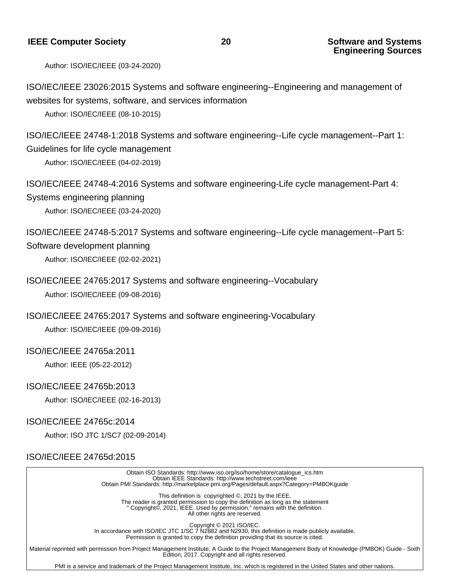## **Engineering Sources**

Author: ISO/IEC/IEEE (03-24-2020)

ISO/IEC/IEEE 23026:2015 Systems and software engineering--Engineering and management of websites for systems, software, and services information

Author: ISO/IEC/IEEE (08-10-2015)

ISO/IEC/IEEE 24748-1:2018 Systems and software engineering--Life cycle management--Part 1: Guidelines for life cycle management

Author: ISO/IEC/IEEE (04-02-2019)

ISO/IEC/IEEE 24748-4:2016 Systems and software engineering-Life cycle management-Part 4: Systems engineering planning

Author: ISO/IEC/IEEE (03-24-2020)

ISO/IEC/IEEE 24748-5:2017 Systems and software engineering--Life cycle management--Part 5: Software development planning

## Author: ISO/IEC/IEEE (02-02-2021)

ISO/IEC/IEEE 24765:2017 Systems and software engineering--Vocabulary Author: ISO/IEC/IEEE (09-08-2016)

ISO/IEC/IEEE 24765:2017 Systems and software engineering-Vocabulary Author: ISO/IEC/IEEE (09-09-2016)

#### ISO/IEC/IEEE 24765a:2011

Author: IEEE (05-22-2012)

#### ISO/IEC/IEEE 24765b:2013

Author: ISO/IEC/IEEE (02-16-2013)

#### ISO/IEC/IEEE 24765c:2014

Author: ISO JTC 1/SC7 (02-09-2014)

#### ISO/IEC/IEEE 24765d:2015

 Obtain ISO Standards: http://www.iso.org/iso/home/store/catalogue\_ics.htm Obtain IEEE Standards: http://www.techstreet.com/ieee Obtain PMI Standards: http://marketplace.pmi.org/Pages/default.aspx?Category=PMBOKguide

 This definition is copyrighted ©, 2021 by the IEEE. The reader is granted permission to copy the definition as long as the statement " Copyright©, 2021, IEEE. Used by permission." remains with the definition. All other rights are reserved.

 Copyright © 2021 ISO/IEC.

 In accordance with ISO/IEC JTC 1/SC 7 N2882 and N2930, this definition is made publicly available. Permission is granted to copy the definition providing that its source is cited.

 Material reprinted with permission from Project Management Institute, A Guide to the Project Management Body of Knowledge (PMBOK) Guide - Sixth Edition, 2017. Copyright and all rights reserved.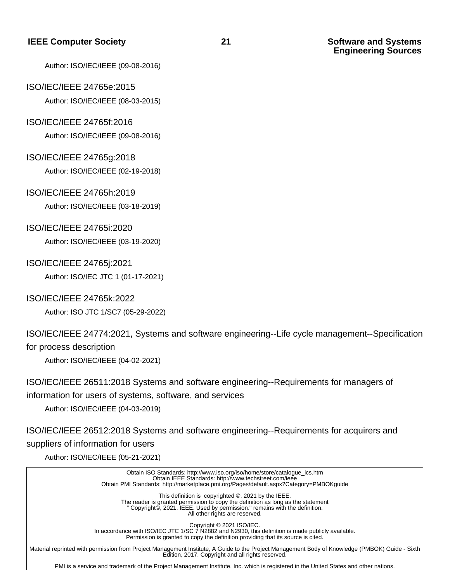# **Engineering Sources**

Author: ISO/IEC/IEEE (09-08-2016)

#### ISO/IEC/IEEE 24765e:2015

Author: ISO/IEC/IEEE (08-03-2015)

#### ISO/IEC/IEEE 24765f:2016

Author: ISO/IEC/IEEE (09-08-2016)

#### ISO/IEC/IEEE 24765g:2018

Author: ISO/IEC/IEEE (02-19-2018)

#### ISO/IEC/IEEE 24765h:2019

Author: ISO/IEC/IEEE (03-18-2019)

#### ISO/IEC/IEEE 24765i:2020

Author: ISO/IEC/IEEE (03-19-2020)

#### ISO/IEC/IEEE 24765j:2021

Author: ISO/IEC JTC 1 (01-17-2021)

#### ISO/IEC/IEEE 24765k:2022

Author: ISO JTC 1/SC7 (05-29-2022)

## ISO/IEC/IEEE 24774:2021, Systems and software engineering--Life cycle management--Specification

### for process description

Author: ISO/IEC/IEEE (04-02-2021)

### ISO/IEC/IEEE 26511:2018 Systems and software engineering--Requirements for managers of information for users of systems, software, and services

Author: ISO/IEC/IEEE (04-03-2019)

## ISO/IEC/IEEE 26512:2018 Systems and software engineering--Requirements for acquirers and suppliers of information for users

Author: ISO/IEC/IEEE (05-21-2021)

| Obtain ISO Standards: http://www.iso.org/iso/home/store/catalogue ics.htm<br>Obtain IEEE Standards: http://www.techstreet.com/ieee<br>Obtain PMI Standards: http://marketplace.pmi.org/Pages/default.aspx?Category=PMBOKguide                            |
|----------------------------------------------------------------------------------------------------------------------------------------------------------------------------------------------------------------------------------------------------------|
| This definition is copyrighted ©, 2021 by the IEEE.<br>The reader is granted permission to copy the definition as long as the statement<br>" Copyright©, 2021, IEEE. Used by permission." remains with the definition.<br>All other rights are reserved. |
| Copyright © 2021 ISO/IEC.<br>In accordance with ISO/IEC JTC 1/SC 7 N2882 and N2930, this definition is made publicly available.<br>Permission is granted to copy the definition providing that its source is cited.                                      |
| Material reprinted with permission from Project Management Institute, A Guide to the Project Management Body of Knowledge (PMBOK) Guide - Sixth<br>Edition, 2017. Copyright and all rights reserved.                                                     |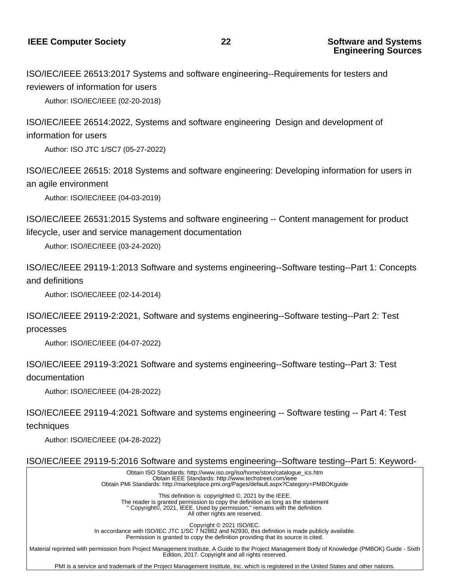ISO/IEC/IEEE 26513:2017 Systems and software engineering--Requirements for testers and reviewers of information for users

Author: ISO/IEC/IEEE (02-20-2018)

ISO/IEC/IEEE 26514:2022, Systems and software engineering Design and development of information for users

Author: ISO JTC 1/SC7 (05-27-2022)

ISO/IEC/IEEE 26515: 2018 Systems and software engineering: Developing information for users in an agile environment

Author: ISO/IEC/IEEE (04-03-2019)

ISO/IEC/IEEE 26531:2015 Systems and software engineering -- Content management for product lifecycle, user and service management documentation

Author: ISO/IEC/IEEE (03-24-2020)

ISO/IEC/IEEE 29119-1:2013 Software and systems engineering--Software testing--Part 1: Concepts and definitions

Author: ISO/IEC/IEEE (02-14-2014)

ISO/IEC/IEEE 29119-2:2021, Software and systems engineering--Software testing--Part 2: Test processes

Author: ISO/IEC/IEEE (04-07-2022)

ISO/IEC/IEEE 29119-3:2021 Software and systems engineering--Software testing--Part 3: Test documentation

Author: ISO/IEC/IEEE (04-28-2022)

ISO/IEC/IEEE 29119-4:2021 Software and systems engineering -- Software testing -- Part 4: Test techniques

Author: ISO/IEC/IEEE (04-28-2022)

ISO/IEC/IEEE 29119-5:2016 Software and systems engineering--Software testing--Part 5: Keyword-

 Obtain ISO Standards: http://www.iso.org/iso/home/store/catalogue\_ics.htm Obtain IEEE Standards: http://www.techstreet.com/ieee Obtain PMI Standards: http://marketplace.pmi.org/Pages/default.aspx?Category=PMBOKguide

 This definition is copyrighted ©, 2021 by the IEEE. The reader is granted permission to copy the definition as long as the statement " Copyright©, 2021, IEEE. Used by permission." remains with the definition. All other rights are reserved.

 Copyright © 2021 ISO/IEC.

 In accordance with ISO/IEC JTC 1/SC 7 N2882 and N2930, this definition is made publicly available. Permission is granted to copy the definition providing that its source is cited.

 Material reprinted with permission from Project Management Institute, A Guide to the Project Management Body of Knowledge (PMBOK) Guide - Sixth Edition, 2017. Copyright and all rights reserved.